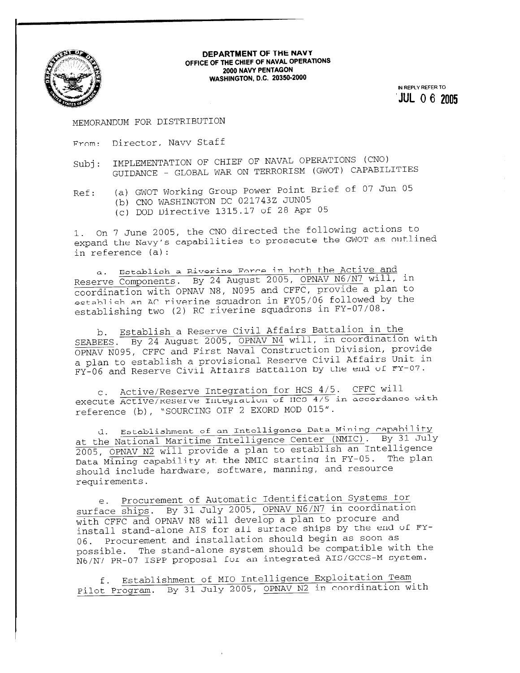

## **DEPARTMENT OF THE NAVY OFFICE OF THE CHIEF OF NAVAL OPERATIONS 2000 NAVY PENTAGON WASHINGTON, D.C. 20350-2000**

**W REPLY REFER TO**  ' **JUL 0** 6 **<sup>2005</sup>**

MEMORANDUM FOR DISTRIBUTION

- From: Director, Navy Staff
- Subj: IMPLEMENTATION OF CHIEF OF NAVAL OPERATIONS (CNO) GUIDANCE - GLOBAL WAR ON TERRORISM (GWOT) CAPABILITIES

Ref: (a) GWOT Working Group Power Point Brief of 07 Jun 05

- (b) CNO WASHINGTON DC 021743Z JUN05
	- (c) DOD Directive 1315.17 of 28 Apr 05

1. On 7 June 2005, the CNO directed the following actions to expand the Navy's capabilities to prosecute the GWOT as outlined in reference (a):

a. Ectablish **a Riverine** Force in both the Active and Reserve Components. By 24 August 2005, OPNAV N6/N7 will, in coordination with OPNAV N8, NO95 and CFFC, provide a plan to establish an AC riverine squadron in FY05/06 followed by the establishing two (2) RC riverine squadrons in FY-07/08.

b. Establish a Reserve Civil Affairs Battalion in the SEABERG BRANCH CORPORATION CONTROLLED BETTER THE SEABERG BRANCH COOPERTY OF BUTTLES OPNAV N095, CFFC and First Naval Construction Division, provide a plan to establish a provisional Reserve Civil Affairs Unit in FY-06 and Reserve Civil Affairs Battalion by the end of FY-07.

c. Active/Reserve Integration for HCS 4/5. CFFC will execute Active/Reserve Integration of IICS 4/5 in accordance with reference (b), "SOURCING OIF 2 EXORD MOD 015".

d. Establishment of an Intelligence Data Mining capability at the National Maritime Intelligence Center (NMIC). By 31 July 2005, OPNAV N2 will provide a plan to establish an Intelligence Data Mining capability at the NMIC starting in FY-05. The plan should include hardware, software, manning, and resource requirements.

e. Procurement of Automatic Identification Systems for surface ships. By 31 July 2005, OPNAV N6/N7 in coordination with CFFC and OPNAV N8 will develop a plan to procure and install stand-alone AIS for all surface ships by the end of FY-06. Procurement and installation should begin as soon as possible. The stand-alone system should be compatible with the N6/N7 PR-07 ISPP proposal for an integrated AIS/GCCS-M system.

f. Establishment of MI0 Intelligence Exploitation Team Pilot Program. By 31 July 2005, OPNAV N2 in coordination with